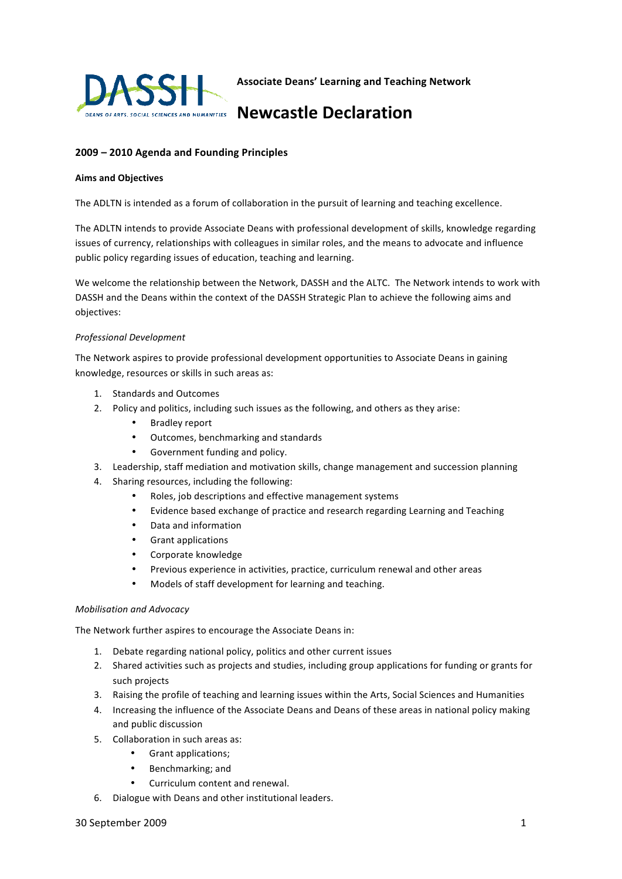

**Associate
Deans'
Learning
and
Teaching
Network** 

# Newcastle Declaration

## **2009
–
2010
Agenda
and
Founding
Principles**

#### **Aims
and
Objectives**

The ADLTN is intended as a forum of collaboration in the pursuit of learning and teaching excellence.

The ADLTN intends to provide Associate Deans with professional development of skills, knowledge regarding issues of currency, relationships with colleagues in similar roles, and the means to advocate and influence public policy regarding issues of education, teaching and learning.

We welcome the relationship between the Network, DASSH and the ALTC. The Network intends to work with DASSH and the Deans within the context of the DASSH Strategic Plan to achieve the following aims and objectives:

#### *Professional
Development*

The
Network
aspires
to
provide
professional
development
opportunities
to
Associate
Deans
in
gaining knowledge,
resources
or
skills
in
such
areas
as:

- 1. Standards
and
Outcomes
- 2. Policy and politics, including such issues as the following, and others as they arise:
	- Bradley
	report
	- Outcomes, benchmarking and standards
	- Government
	funding
	and
	policy.
- 3. Leadership,
staff
mediation
and
motivation
skills,
change
management
and
succession
planning
- 4. Sharing
resources,
including
the
following:
	- Roles,
	job
	descriptions
	and
	effective
	management
	systems
	- Evidence based exchange of practice and research regarding Learning and Teaching
	- Data
	and
	information
	- Grant
	applications
	- Corporate
	knowledge
	- Previous experience in activities, practice, curriculum renewal and other areas
	- Models of staff development for learning and teaching.

### *Mobilisation
and
Advocacy*

The
Network
further
aspires
to
encourage
the
Associate
Deans
in:

- 1. Debate
regarding
national
policy,
politics
and
other
current
issues
- 2. Shared activities such as projects and studies, including group applications for funding or grants for such
projects
- 3. Raising
the
profile
of
teaching
and
learning
issues
within
the
Arts,
Social
Sciences
and
Humanities
- 4. Increasing
the
influence
of
the
Associate
Deans
and
Deans
of
these
areas
in
national
policy
making and
public
discussion
- 5. Collaboration
in
such
areas
as:
	- Grant
	applications;
	- Benchmarking;
	and
	- Curriculum content and renewal.
- 6. Dialogue
with
Deans
and
other
institutional
leaders.